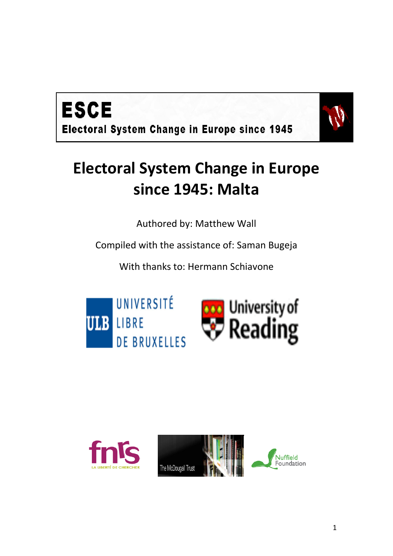



# **Electoral System Change in Europe since 1945: Malta**

Authored by: Matthew Wall

Compiled with the assistance of: Saman Bugeja

With thanks to: Hermann Schiavone





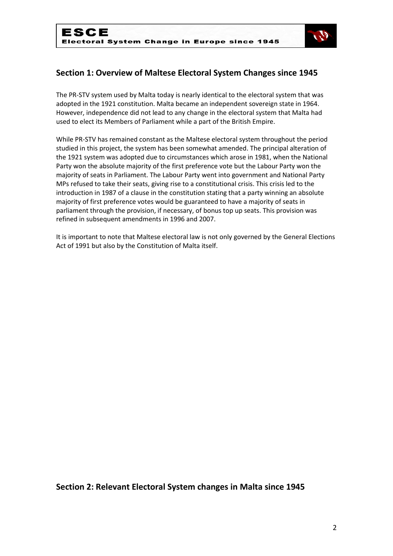

# **Section 1: Overview of Maltese Electoral System Changes since 1945**

The PR-STV system used by Malta today is nearly identical to the electoral system that was adopted in the 1921 constitution. Malta became an independent sovereign state in 1964. However, independence did not lead to any change in the electoral system that Malta had used to elect its Members of Parliament while a part of the British Empire.

While PR-STV has remained constant as the Maltese electoral system throughout the period studied in this project, the system has been somewhat amended. The principal alteration of the 1921 system was adopted due to circumstances which arose in 1981, when the National Party won the absolute majority of the first preference vote but the Labour Party won the majority of seats in Parliament. The Labour Party went into government and National Party MPs refused to take their seats, giving rise to a constitutional crisis. This crisis led to the introduction in 1987 of a clause in the constitution stating that a party winning an absolute majority of first preference votes would be guaranteed to have a majority of seats in parliament through the provision, if necessary, of bonus top up seats. This provision was refined in subsequent amendments in 1996 and 2007.

It is important to note that Maltese electoral law is not only governed by the General Elections Act of 1991 but also by the Constitution of Malta itself.

## **Section 2: Relevant Electoral System changes in Malta since 1945**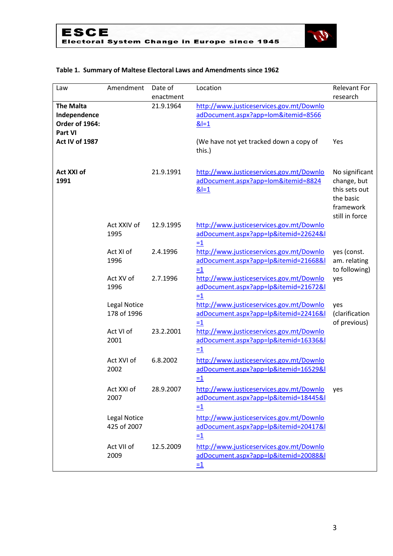

## **Table 1. Summary of Maltese Electoral Laws and Amendments since 1962**

| Law                                                           | Amendment                          | Date of                | Location                                                                                                   | <b>Relevant For</b>                                                                        |
|---------------------------------------------------------------|------------------------------------|------------------------|------------------------------------------------------------------------------------------------------------|--------------------------------------------------------------------------------------------|
| <b>The Malta</b><br>Independence<br>Order of 1964:<br>Part VI |                                    | enactment<br>21.9.1964 | http://www.justiceservices.gov.mt/Downlo<br>adDocument.aspx?app=lom&itemid=8566<br>$&=1$                   | research                                                                                   |
| Act IV of 1987                                                |                                    |                        | (We have not yet tracked down a copy of<br>this.)                                                          | Yes                                                                                        |
| Act XXI of<br>1991                                            |                                    | 21.9.1991              | http://www.justiceservices.gov.mt/Downlo<br>adDocument.aspx?app=lom&itemid=8824<br>$& = 1$                 | No significant<br>change, but<br>this sets out<br>the basic<br>framework<br>still in force |
|                                                               | Act XXIV of<br>1995                | 12.9.1995              | http://www.justiceservices.gov.mt/Downlo<br>adDocument.aspx?app=lp&itemid=22624&l<br>$=1$                  |                                                                                            |
|                                                               | Act XI of<br>1996                  | 2.4.1996               | http://www.justiceservices.gov.mt/Downlo<br>adDocument.aspx?app=lp&itemid=21668&l<br>$=1$                  | yes (const.<br>am. relating<br>to following)                                               |
|                                                               | Act XV of<br>1996                  | 2.7.1996               | http://www.justiceservices.gov.mt/Downlo<br>adDocument.aspx?app=lp&itemid=21672&l<br>$=1$                  | yes                                                                                        |
|                                                               | <b>Legal Notice</b><br>178 of 1996 |                        | http://www.justiceservices.gov.mt/Downlo<br>adDocument.aspx?app=lp&itemid=22416&l<br>$=1$                  | yes<br>(clarification<br>of previous)                                                      |
|                                                               | Act VI of<br>2001                  | 23.2.2001              | http://www.justiceservices.gov.mt/Downlo<br>adDocument.aspx?app=lp&itemid=16336&l<br>$=1$                  |                                                                                            |
|                                                               | Act XVI of<br>2002                 | 6.8.2002               | http://www.justiceservices.gov.mt/Downlo<br>adDocument.aspx?app=lp&itemid=16529&l<br>$=1$                  |                                                                                            |
|                                                               | Act XXI of<br>2007                 | 28.9.2007              | http://www.justiceservices.gov.mt/Downlo<br>adDocument.aspx?app=lp&itemid=18445&l<br>$\equiv$ <sup>1</sup> | yes                                                                                        |
|                                                               | <b>Legal Notice</b><br>425 of 2007 |                        | http://www.justiceservices.gov.mt/Downlo<br>adDocument.aspx?app=lp&itemid=20417&l<br>$=1$                  |                                                                                            |
|                                                               | Act VII of<br>2009                 | 12.5.2009              | http://www.justiceservices.gov.mt/Downlo<br>adDocument.aspx?app=lp&itemid=20088&l<br>$\equiv$ <sup>1</sup> |                                                                                            |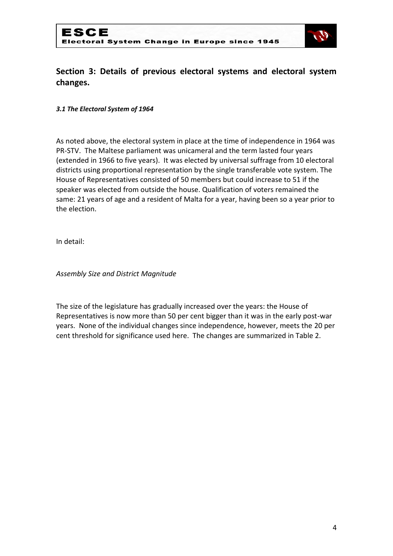

# **Section 3: Details of previous electoral systems and electoral system changes.**

#### *3.1 The Electoral System of 1964*

As noted above, the electoral system in place at the time of independence in 1964 was PR-STV. The Maltese parliament was unicameral and the term lasted four years (extended in 1966 to five years). It was elected by universal suffrage from 10 electoral districts using proportional representation by the single transferable vote system. The House of Representatives consisted of 50 members but could increase to 51 if the speaker was elected from outside the house. Qualification of voters remained the same: 21 years of age and a resident of Malta for a year, having been so a year prior to the election.

In detail:

*Assembly Size and District Magnitude*

The size of the legislature has gradually increased over the years: the House of Representatives is now more than 50 per cent bigger than it was in the early post-war years. None of the individual changes since independence, however, meets the 20 per cent threshold for significance used here. The changes are summarized in Table 2.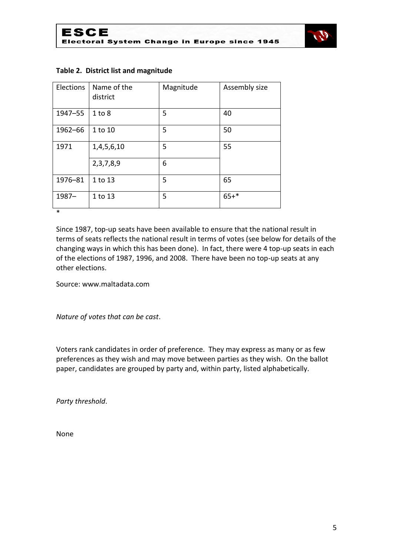

| Elections | Name of the<br>district | Magnitude | Assembly size |
|-----------|-------------------------|-----------|---------------|
| 1947-55   | 1 to 8                  | 5         | 40            |
| 1962-66   | 1 to 10                 | 5         | 50            |
| 1971      | 1,4,5,6,10              | 5         | 55            |
|           | 2, 3, 7, 8, 9           | 6         |               |
| 1976-81   | 1 to 13                 | 5         | 65            |
| $1987 -$  | 1 to 13                 | 5         | $65+*$        |
| $\ast$    |                         |           |               |

#### **Table 2. District list and magnitude**

Since 1987, top-up seats have been available to ensure that the national result in terms of seats reflects the national result in terms of votes (see below for details of the changing ways in which this has been done). In fact, there were 4 top-up seats in each of the elections of 1987, 1996, and 2008. There have been no top-up seats at any other elections.

Source: www.maltadata.com

*Nature of votes that can be cast*.

Voters rank candidates in order of preference. They may express as many or as few preferences as they wish and may move between parties as they wish. On the ballot paper, candidates are grouped by party and, within party, listed alphabetically.

*Party threshold*.

None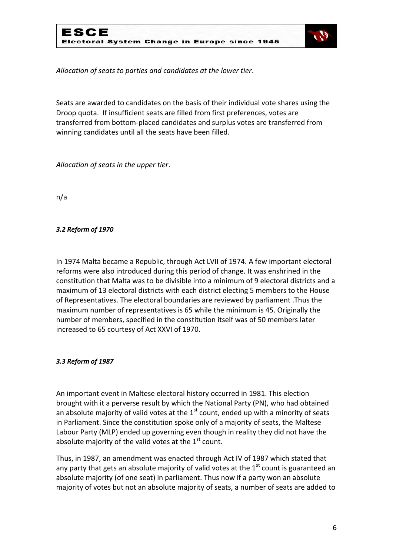

*Allocation of seats to parties and candidates at the lower tier*.

Seats are awarded to candidates on the basis of their individual vote shares using the Droop quota. If insufficient seats are filled from first preferences, votes are transferred from bottom-placed candidates and surplus votes are transferred from winning candidates until all the seats have been filled.

*Allocation of seats in the upper tier*.

n/a

## *3.2 Reform of 1970*

In 1974 Malta became a Republic, through Act LVII of 1974. A few important electoral reforms were also introduced during this period of change. It was enshrined in the constitution that Malta was to be divisible into a minimum of 9 electoral districts and a maximum of 13 electoral districts with each district electing 5 members to the House of Representatives. The electoral boundaries are reviewed by parliament .Thus the maximum number of representatives is 65 while the minimum is 45. Originally the number of members, specified in the constitution itself was of 50 members later increased to 65 courtesy of Act XXVI of 1970.

## *3.3 Reform of 1987*

An important event in Maltese electoral history occurred in 1981. This election brought with it a perverse result by which the National Party (PN), who had obtained an absolute majority of valid votes at the  $1<sup>st</sup>$  count, ended up with a minority of seats in Parliament. Since the constitution spoke only of a majority of seats, the Maltese Labour Party (MLP) ended up governing even though in reality they did not have the absolute majority of the valid votes at the  $1<sup>st</sup>$  count.

Thus, in 1987, an amendment was enacted through Act IV of 1987 which stated that any party that gets an absolute majority of valid votes at the  $1<sup>st</sup>$  count is guaranteed an absolute majority (of one seat) in parliament. Thus now if a party won an absolute majority of votes but not an absolute majority of seats, a number of seats are added to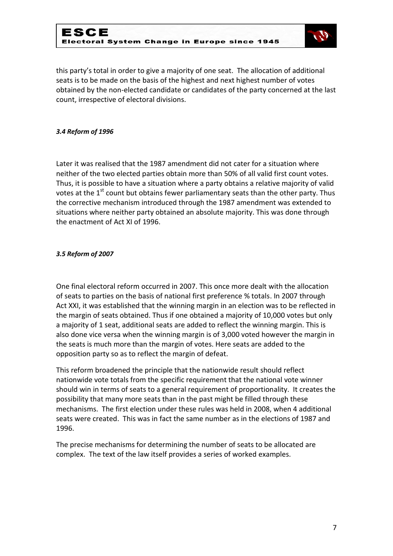

this party's total in order to give a majority of one seat. The allocation of additional seats is to be made on the basis of the highest and next highest number of votes obtained by the non-elected candidate or candidates of the party concerned at the last count, irrespective of electoral divisions.

#### *3.4 Reform of 1996*

Later it was realised that the 1987 amendment did not cater for a situation where neither of the two elected parties obtain more than 50% of all valid first count votes. Thus, it is possible to have a situation where a party obtains a relative majority of valid votes at the  $1<sup>st</sup>$  count but obtains fewer parliamentary seats than the other party. Thus the corrective mechanism introduced through the 1987 amendment was extended to situations where neither party obtained an absolute majority. This was done through the enactment of Act XI of 1996.

#### *3.5 Reform of 2007*

One final electoral reform occurred in 2007. This once more dealt with the allocation of seats to parties on the basis of national first preference % totals. In 2007 through Act XXI, it was established that the winning margin in an election was to be reflected in the margin of seats obtained. Thus if one obtained a majority of 10,000 votes but only a majority of 1 seat, additional seats are added to reflect the winning margin. This is also done vice versa when the winning margin is of 3,000 voted however the margin in the seats is much more than the margin of votes. Here seats are added to the opposition party so as to reflect the margin of defeat.

This reform broadened the principle that the nationwide result should reflect nationwide vote totals from the specific requirement that the national vote winner should win in terms of seats to a general requirement of proportionality. It creates the possibility that many more seats than in the past might be filled through these mechanisms. The first election under these rules was held in 2008, when 4 additional seats were created. This was in fact the same number as in the elections of 1987 and 1996.

The precise mechanisms for determining the number of seats to be allocated are complex. The text of the law itself provides a series of worked examples.